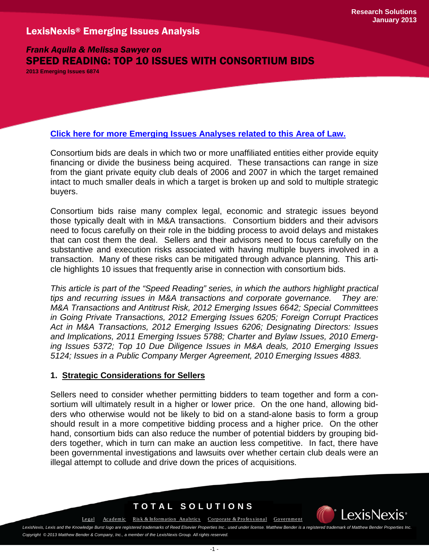# *Frank Aquila & Melissa Sawyer on*  SPEED READING: TOP 10 ISSUES WITH CONSORTIUM BIDS

**2013 Emerging Issues 6874**

### **[Click here for more Emerging Issues Analyses related to this Area of Law.](http://www.lexis.com/research/xlink?&source=352100&searchtype=boolean&target=toc)**

Consortium bids are deals in which two or more unaffiliated entities either provide equity financing or divide the business being acquired. These transactions can range in size from the giant private equity club deals of 2006 and 2007 in which the target remained intact to much smaller deals in which a target is broken up and sold to multiple strategic buyers.

Consortium bids raise many complex legal, economic and strategic issues beyond those typically dealt with in M&A transactions. Consortium bidders and their advisors need to focus carefully on their role in the bidding process to avoid delays and mistakes that can cost them the deal. Sellers and their advisors need to focus carefully on the substantive and execution risks associated with having multiple buyers involved in a transaction. Many of these risks can be mitigated through advance planning. This article highlights 10 issues that frequently arise in connection with consortium bids.

*This article is part of the "Speed Reading" series, in which the authors highlight practical tips and recurring issues in M&A transactions and corporate governance. They are: M&A Transactions and Antitrust Risk, 2012 Emerging Issues 6642; Special Committees in Going Private Transactions, 2012 Emerging Issues 6205; Foreign Corrupt Practices Act in M&A Transactions, 2012 Emerging Issues 6206; Designating Directors: Issues and Implications, 2011 Emerging Issues 5788; Charter and Bylaw Issues, 2010 Emerging Issues 5372; Top 10 Due Diligence Issues in M&A deals, 2010 Emerging Issues 5124; Issues in a Public Company Merger Agreement, 2010 Emerging Issues 4883.*

### **1. Strategic Considerations for Sellers**

Sellers need to consider whether permitting bidders to team together and form a consortium will ultimately result in a higher or lower price. On the one hand, allowing bidders who otherwise would not be likely to bid on a stand-alone basis to form a group should result in a more competitive bidding process and a higher price. On the other hand, consortium bids can also reduce the number of potential bidders by grouping bidders together, which in turn can make an auction less competitive. In fact, there have been governmental investigations and lawsuits over whether certain club deals were an illegal attempt to collude and drive down the prices of acquisitions.

# **TOTAL SOLUTIONS**

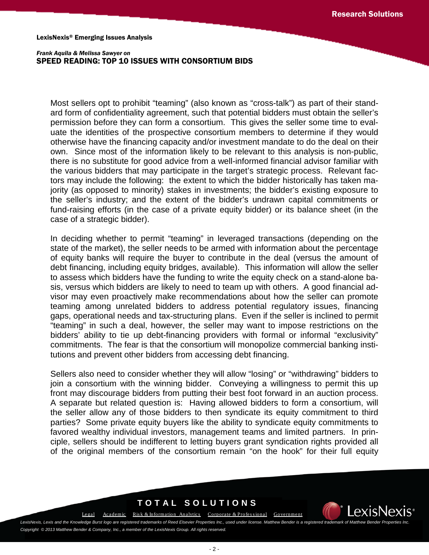#### *Frank Aquila & Melissa Sawyer on*  SPEED READING: TOP 10 ISSUES WITH CONSORTIUM BIDS

Most sellers opt to prohibit "teaming" (also known as "cross-talk") as part of their standard form of confidentiality agreement, such that potential bidders must obtain the seller's permission before they can form a consortium. This gives the seller some time to evaluate the identities of the prospective consortium members to determine if they would otherwise have the financing capacity and/or investment mandate to do the deal on their own. Since most of the information likely to be relevant to this analysis is non-public, there is no substitute for good advice from a well-informed financial advisor familiar with the various bidders that may participate in the target's strategic process. Relevant factors may include the following: the extent to which the bidder historically has taken majority (as opposed to minority) stakes in investments; the bidder's existing exposure to the seller's industry; and the extent of the bidder's undrawn capital commitments or fund-raising efforts (in the case of a private equity bidder) or its balance sheet (in the case of a strategic bidder).

In deciding whether to permit "teaming" in leveraged transactions (depending on the state of the market), the seller needs to be armed with information about the percentage of equity banks will require the buyer to contribute in the deal (versus the amount of debt financing, including equity bridges, available). This information will allow the seller to assess which bidders have the funding to write the equity check on a stand-alone basis, versus which bidders are likely to need to team up with others. A good financial advisor may even proactively make recommendations about how the seller can promote teaming among unrelated bidders to address potential regulatory issues, financing gaps, operational needs and tax-structuring plans. Even if the seller is inclined to permit "teaming" in such a deal, however, the seller may want to impose restrictions on the bidders' ability to tie up debt-financing providers with formal or informal "exclusivity" commitments. The fear is that the consortium will monopolize commercial banking institutions and prevent other bidders from accessing debt financing.

Sellers also need to consider whether they will allow "losing" or "withdrawing" bidders to join a consortium with the winning bidder. Conveying a willingness to permit this up front may discourage bidders from putting their best foot forward in an auction process. A separate but related question is: Having allowed bidders to form a consortium, will the seller allow any of those bidders to then syndicate its equity commitment to third parties? Some private equity buyers like the ability to syndicate equity commitments to favored wealthy individual investors, management teams and limited partners. In principle, sellers should be indifferent to letting buyers grant syndication rights provided all of the original members of the consortium remain "on the hook" for their full equity

# **TOTAL SOLUTIONS**

Legal Academic Risk & Information Analytics Corporate & Professional [Government](http://www.lexisnexis.com/gov/)

exisNe: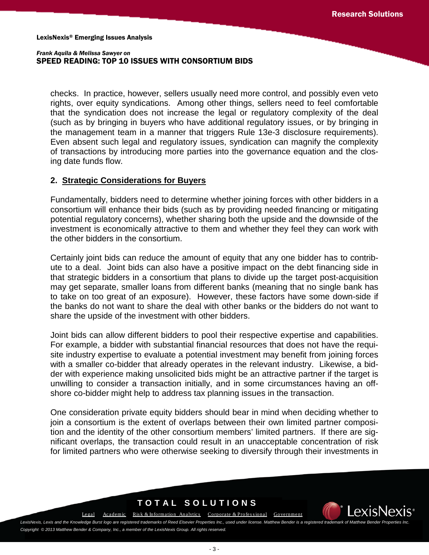#### *Frank Aquila & Melissa Sawyer on*  SPEED READING: TOP 10 ISSUES WITH CONSORTIUM BIDS

checks. In practice, however, sellers usually need more control, and possibly even veto rights, over equity syndications. Among other things, sellers need to feel comfortable that the syndication does not increase the legal or regulatory complexity of the deal (such as by bringing in buyers who have additional regulatory issues, or by bringing in the management team in a manner that triggers Rule 13e-3 disclosure requirements). Even absent such legal and regulatory issues, syndication can magnify the complexity of transactions by introducing more parties into the governance equation and the closing date funds flow.

### **2. Strategic Considerations for Buyers**

Fundamentally, bidders need to determine whether joining forces with other bidders in a consortium will enhance their bids (such as by providing needed financing or mitigating potential regulatory concerns), whether sharing both the upside and the downside of the investment is economically attractive to them and whether they feel they can work with the other bidders in the consortium.

Certainly joint bids can reduce the amount of equity that any one bidder has to contribute to a deal. Joint bids can also have a positive impact on the debt financing side in that strategic bidders in a consortium that plans to divide up the target post-acquisition may get separate, smaller loans from different banks (meaning that no single bank has to take on too great of an exposure). However, these factors have some down-side if the banks do not want to share the deal with other banks or the bidders do not want to share the upside of the investment with other bidders.

Joint bids can allow different bidders to pool their respective expertise and capabilities. For example, a bidder with substantial financial resources that does not have the requisite industry expertise to evaluate a potential investment may benefit from joining forces with a smaller co-bidder that already operates in the relevant industry. Likewise, a bidder with experience making unsolicited bids might be an attractive partner if the target is unwilling to consider a transaction initially, and in some circumstances having an offshore co-bidder might help to address tax planning issues in the transaction.

One consideration private equity bidders should bear in mind when deciding whether to join a consortium is the extent of overlaps between their own limited partner composition and the identity of the other consortium members' limited partners. If there are significant overlaps, the transaction could result in an unacceptable concentration of risk for limited partners who were otherwise seeking to diversify through their investments in

# **TOTAL SOLUTIONS**

Legal Academic Risk & Information Analytics Corporate & Professional [Government](http://www.lexisnexis.com/gov/)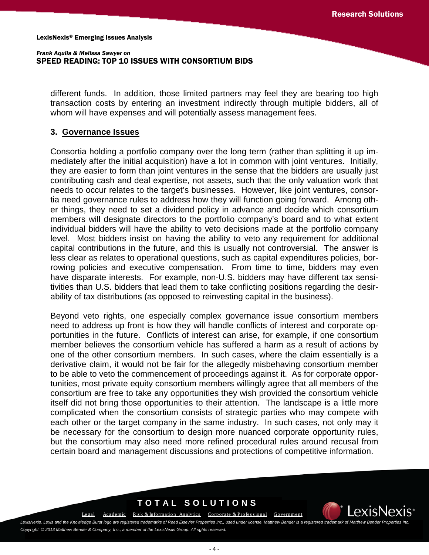different funds. In addition, those limited partners may feel they are bearing too high transaction costs by entering an investment indirectly through multiple bidders, all of whom will have expenses and will potentially assess management fees.

### **3. Governance Issues**

Consortia holding a portfolio company over the long term (rather than splitting it up immediately after the initial acquisition) have a lot in common with joint ventures. Initially, they are easier to form than joint ventures in the sense that the bidders are usually just contributing cash and deal expertise, not assets, such that the only valuation work that needs to occur relates to the target's businesses. However, like joint ventures, consortia need governance rules to address how they will function going forward. Among other things, they need to set a dividend policy in advance and decide which consortium members will designate directors to the portfolio company's board and to what extent individual bidders will have the ability to veto decisions made at the portfolio company level. Most bidders insist on having the ability to veto any requirement for additional capital contributions in the future, and this is usually not controversial. The answer is less clear as relates to operational questions, such as capital expenditures policies, borrowing policies and executive compensation. From time to time, bidders may even have disparate interests. For example, non-U.S. bidders may have different tax sensitivities than U.S. bidders that lead them to take conflicting positions regarding the desirability of tax distributions (as opposed to reinvesting capital in the business).

Beyond veto rights, one especially complex governance issue consortium members need to address up front is how they will handle conflicts of interest and corporate opportunities in the future. Conflicts of interest can arise, for example, if one consortium member believes the consortium vehicle has suffered a harm as a result of actions by one of the other consortium members. In such cases, where the claim essentially is a derivative claim, it would not be fair for the allegedly misbehaving consortium member to be able to veto the commencement of proceedings against it. As for corporate opportunities, most private equity consortium members willingly agree that all members of the consortium are free to take any opportunities they wish provided the consortium vehicle itself did not bring those opportunities to their attention. The landscape is a little more complicated when the consortium consists of strategic parties who may compete with each other or the target company in the same industry. In such cases, not only may it be necessary for the consortium to design more nuanced corporate opportunity rules, but the consortium may also need more refined procedural rules around recusal from certain board and management discussions and protections of competitive information.

# **TOTAL SOLUTIONS**



.exisNex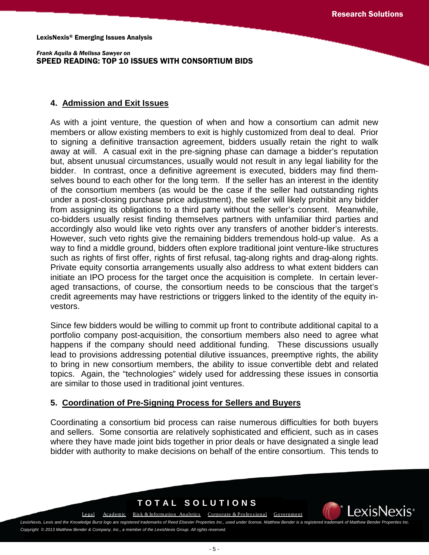### **4. Admission and Exit Issues**

As with a joint venture, the question of when and how a consortium can admit new members or allow existing members to exit is highly customized from deal to deal. Prior to signing a definitive transaction agreement, bidders usually retain the right to walk away at will. A casual exit in the pre-signing phase can damage a bidder's reputation but, absent unusual circumstances, usually would not result in any legal liability for the bidder. In contrast, once a definitive agreement is executed, bidders may find themselves bound to each other for the long term. If the seller has an interest in the identity of the consortium members (as would be the case if the seller had outstanding rights under a post-closing purchase price adjustment), the seller will likely prohibit any bidder from assigning its obligations to a third party without the seller's consent. Meanwhile, co-bidders usually resist finding themselves partners with unfamiliar third parties and accordingly also would like veto rights over any transfers of another bidder's interests. However, such veto rights give the remaining bidders tremendous hold-up value. As a way to find a middle ground, bidders often explore traditional joint venture-like structures such as rights of first offer, rights of first refusal, tag-along rights and drag-along rights. Private equity consortia arrangements usually also address to what extent bidders can initiate an IPO process for the target once the acquisition is complete. In certain leveraged transactions, of course, the consortium needs to be conscious that the target's credit agreements may have restrictions or triggers linked to the identity of the equity investors.

Since few bidders would be willing to commit up front to contribute additional capital to a portfolio company post-acquisition, the consortium members also need to agree what happens if the company should need additional funding. These discussions usually lead to provisions addressing potential dilutive issuances, preemptive rights, the ability to bring in new consortium members, the ability to issue convertible debt and related topics. Again, the "technologies" widely used for addressing these issues in consortia are similar to those used in traditional joint ventures.

### **5. Coordination of Pre-Signing Process for Sellers and Buyers**

Coordinating a consortium bid process can raise numerous difficulties for both buyers and sellers. Some consortia are relatively sophisticated and efficient, such as in cases where they have made joint bids together in prior deals or have designated a single lead bidder with authority to make decisions on behalf of the entire consortium. This tends to

# **TOTAL SOLUTIONS**

Legal Academic Risk & Information Analytics Corporate & Professional [Government](http://www.lexisnexis.com/gov/)

exisNe: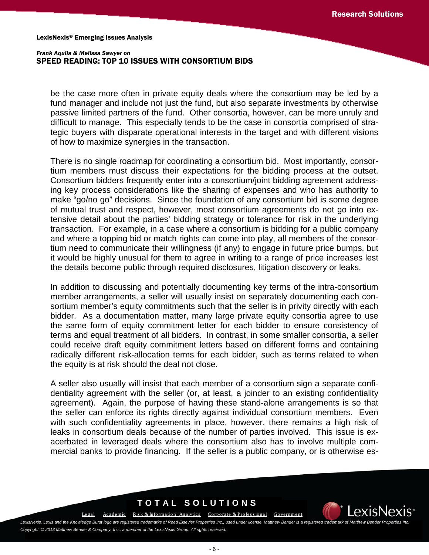#### *Frank Aquila & Melissa Sawyer on*  SPEED READING: TOP 10 ISSUES WITH CONSORTIUM BIDS

be the case more often in private equity deals where the consortium may be led by a fund manager and include not just the fund, but also separate investments by otherwise passive limited partners of the fund. Other consortia, however, can be more unruly and difficult to manage. This especially tends to be the case in consortia comprised of strategic buyers with disparate operational interests in the target and with different visions of how to maximize synergies in the transaction.

There is no single roadmap for coordinating a consortium bid. Most importantly, consortium members must discuss their expectations for the bidding process at the outset. Consortium bidders frequently enter into a consortium/joint bidding agreement addressing key process considerations like the sharing of expenses and who has authority to make "go/no go" decisions. Since the foundation of any consortium bid is some degree of mutual trust and respect, however, most consortium agreements do not go into extensive detail about the parties' bidding strategy or tolerance for risk in the underlying transaction. For example, in a case where a consortium is bidding for a public company and where a topping bid or match rights can come into play, all members of the consortium need to communicate their willingness (if any) to engage in future price bumps, but it would be highly unusual for them to agree in writing to a range of price increases lest the details become public through required disclosures, litigation discovery or leaks.

In addition to discussing and potentially documenting key terms of the intra-consortium member arrangements, a seller will usually insist on separately documenting each consortium member's equity commitments such that the seller is in privity directly with each bidder. As a documentation matter, many large private equity consortia agree to use the same form of equity commitment letter for each bidder to ensure consistency of terms and equal treatment of all bidders. In contrast, in some smaller consortia, a seller could receive draft equity commitment letters based on different forms and containing radically different risk-allocation terms for each bidder, such as terms related to when the equity is at risk should the deal not close.

A seller also usually will insist that each member of a consortium sign a separate confidentiality agreement with the seller (or, at least, a joinder to an existing confidentiality agreement). Again, the purpose of having these stand-alone arrangements is so that the seller can enforce its rights directly against individual consortium members. Even with such confidentiality agreements in place, however, there remains a high risk of leaks in consortium deals because of the number of parties involved. This issue is exacerbated in leveraged deals where the consortium also has to involve multiple commercial banks to provide financing. If the seller is a public company, or is otherwise es-

# **TOTAL SOLUTIONS**

Legal Academic Risk & Information Analytics Corporate & Professional [Government](http://www.lexisnexis.com/gov/)

exisNe: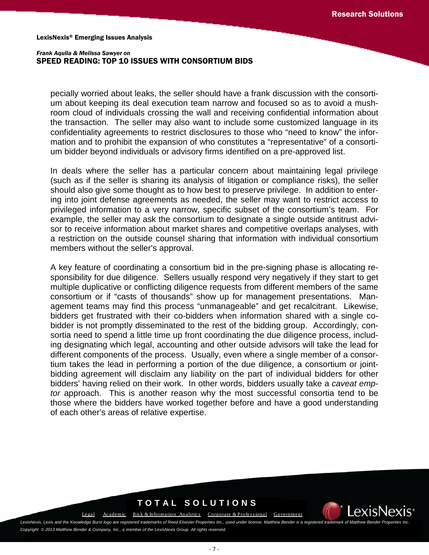#### *Frank Aquila & Melissa Sawyer on*  SPEED READING: TOP 10 ISSUES WITH CONSORTIUM BIDS

pecially worried about leaks, the seller should have a frank discussion with the consortium about keeping its deal execution team narrow and focused so as to avoid a mushroom cloud of individuals crossing the wall and receiving confidential information about the transaction. The seller may also want to include some customized language in its confidentiality agreements to restrict disclosures to those who "need to know" the information and to prohibit the expansion of who constitutes a "representative" of a consortium bidder beyond individuals or advisory firms identified on a pre-approved list.

In deals where the seller has a particular concern about maintaining legal privilege (such as if the seller is sharing its analysis of litigation or compliance risks), the seller should also give some thought as to how best to preserve privilege. In addition to entering into joint defense agreements as needed, the seller may want to restrict access to privileged information to a very narrow, specific subset of the consortium's team. For example, the seller may ask the consortium to designate a single outside antitrust advisor to receive information about market shares and competitive overlaps analyses, with a restriction on the outside counsel sharing that information with individual consortium members without the seller's approval.

A key feature of coordinating a consortium bid in the pre-signing phase is allocating responsibility for due diligence. Sellers usually respond very negatively if they start to get multiple duplicative or conflicting diligence requests from different members of the same consortium or if "casts of thousands" show up for management presentations. Management teams may find this process "unmanageable" and get recalcitrant. Likewise, bidders get frustrated with their co-bidders when information shared with a single cobidder is not promptly disseminated to the rest of the bidding group. Accordingly, consortia need to spend a little time up front coordinating the due diligence process, including designating which legal, accounting and other outside advisors will take the lead for different components of the process. Usually, even where a single member of a consortium takes the lead in performing a portion of the due diligence, a consortium or jointbidding agreement will disclaim any liability on the part of individual bidders for other bidders' having relied on their work. In other words, bidders usually take a *caveat emptor* approach. This is another reason why the most successful consortia tend to be those where the bidders have worked together before and have a good understanding of each other's areas of relative expertise.

# **TOTAL SOLUTIONS**

Legal Academic Risk & Information Analytics Corporate & Professional [Government](http://www.lexisnexis.com/gov/)

.exisNe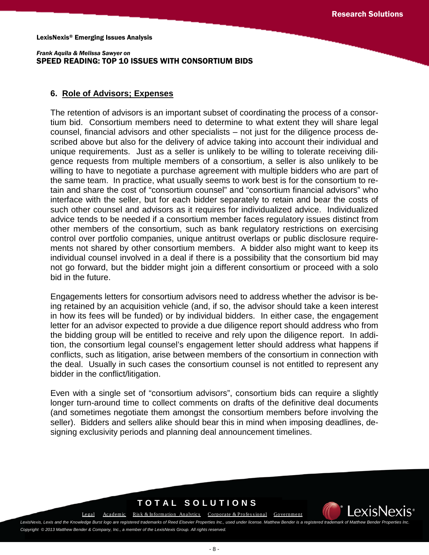#### *Frank Aquila & Melissa Sawyer on*  SPEED READING: TOP 10 ISSUES WITH CONSORTIUM BIDS

#### **6. Role of Advisors; Expenses**

The retention of advisors is an important subset of coordinating the process of a consortium bid. Consortium members need to determine to what extent they will share legal counsel, financial advisors and other specialists – not just for the diligence process described above but also for the delivery of advice taking into account their individual and unique requirements. Just as a seller is unlikely to be willing to tolerate receiving diligence requests from multiple members of a consortium, a seller is also unlikely to be willing to have to negotiate a purchase agreement with multiple bidders who are part of the same team. In practice, what usually seems to work best is for the consortium to retain and share the cost of "consortium counsel" and "consortium financial advisors" who interface with the seller, but for each bidder separately to retain and bear the costs of such other counsel and advisors as it requires for individualized advice. Individualized advice tends to be needed if a consortium member faces regulatory issues distinct from other members of the consortium, such as bank regulatory restrictions on exercising control over portfolio companies, unique antitrust overlaps or public disclosure requirements not shared by other consortium members. A bidder also might want to keep its individual counsel involved in a deal if there is a possibility that the consortium bid may not go forward, but the bidder might join a different consortium or proceed with a solo bid in the future.

Engagements letters for consortium advisors need to address whether the advisor is being retained by an acquisition vehicle (and, if so, the advisor should take a keen interest in how its fees will be funded) or by individual bidders. In either case, the engagement letter for an advisor expected to provide a due diligence report should address who from the bidding group will be entitled to receive and rely upon the diligence report. In addition, the consortium legal counsel's engagement letter should address what happens if conflicts, such as litigation, arise between members of the consortium in connection with the deal. Usually in such cases the consortium counsel is not entitled to represent any bidder in the conflict/litigation.

Even with a single set of "consortium advisors", consortium bids can require a slightly longer turn-around time to collect comments on drafts of the definitive deal documents (and sometimes negotiate them amongst the consortium members before involving the seller). Bidders and sellers alike should bear this in mind when imposing deadlines, designing exclusivity periods and planning deal announcement timelines.

# **TOTAL SOLUTIONS**

Legal Academic Risk & Information Analytics Corporate & Professional [Government](http://www.lexisnexis.com/gov/)

exisNe: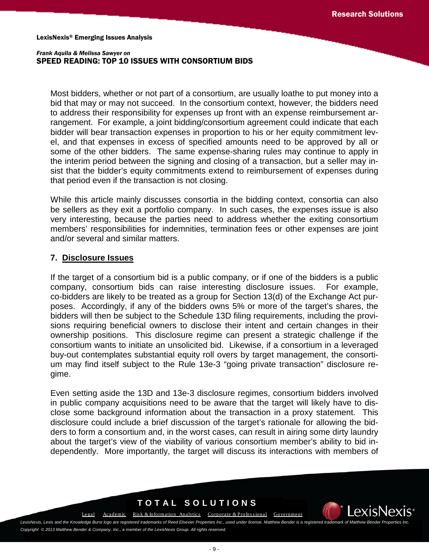Most bidders, whether or not part of a consortium, are usually loathe to put money into a bid that may or may not succeed. In the consortium context, however, the bidders need to address their responsibility for expenses up front with an expense reimbursement arrangement. For example, a joint bidding/consortium agreement could indicate that each bidder will bear transaction expenses in proportion to his or her equity commitment level, and that expenses in excess of specified amounts need to be approved by all or some of the other bidders. The same expense-sharing rules may continue to apply in the interim period between the signing and closing of a transaction, but a seller may insist that the bidder's equity commitments extend to reimbursement of expenses during that period even if the transaction is not closing.

While this article mainly discusses consortia in the bidding context, consortia can also be sellers as they exit a portfolio company. In such cases, the expenses issue is also very interesting, because the parties need to address whether the exiting consortium members' responsibilities for indemnities, termination fees or other expenses are joint and/or several and similar matters.

# **7. Disclosure Issues**

If the target of a consortium bid is a public company, or if one of the bidders is a public company, consortium bids can raise interesting disclosure issues. For example, co-bidders are likely to be treated as a group for Section 13(d) of the Exchange Act purposes. Accordingly, if any of the bidders owns 5% or more of the target's shares, the bidders will then be subject to the Schedule 13D filing requirements, including the provisions requiring beneficial owners to disclose their intent and certain changes in their ownership positions. This disclosure regime can present a strategic challenge if the consortium wants to initiate an unsolicited bid. Likewise, if a consortium in a leveraged buy-out contemplates substantial equity roll overs by target management, the consortium may find itself subject to the Rule 13e-3 "going private transaction" disclosure regime.

Even setting aside the 13D and 13e-3 disclosure regimes, consortium bidders involved in public company acquisitions need to be aware that the target will likely have to disclose some background information about the transaction in a proxy statement. This disclosure could include a brief discussion of the target's rationale for allowing the bidders to form a consortium and, in the worst cases, can result in airing some dirty laundry about the target's view of the viability of various consortium member's ability to bid independently. More importantly, the target will discuss its interactions with members of

# **TOTAL SOLUTIONS**

Legal Academic Risk & Information Analytics Corporate & Professional [Government](http://www.lexisnexis.com/gov/)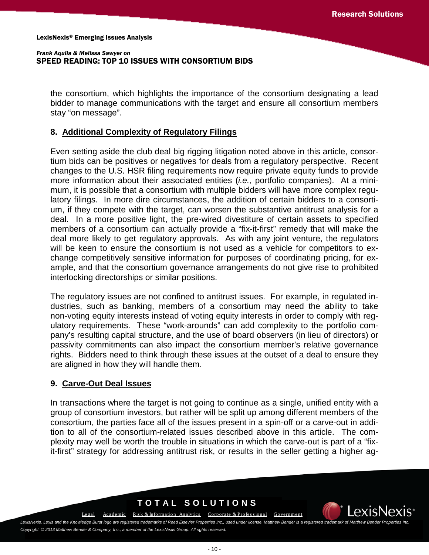exisNe>

*Frank Aquila & Melissa Sawyer on* 

#### SPEED READING: TOP 10 ISSUES WITH CONSORTIUM BIDS

the consortium, which highlights the importance of the consortium designating a lead bidder to manage communications with the target and ensure all consortium members stay "on message".

### **8. Additional Complexity of Regulatory Filings**

Even setting aside the club deal big rigging litigation noted above in this article, consortium bids can be positives or negatives for deals from a regulatory perspective. Recent changes to the U.S. HSR filing requirements now require private equity funds to provide more information about their associated entities (*i.e.*, portfolio companies). At a minimum, it is possible that a consortium with multiple bidders will have more complex regulatory filings. In more dire circumstances, the addition of certain bidders to a consortium, if they compete with the target, can worsen the substantive antitrust analysis for a deal. In a more positive light, the pre-wired divestiture of certain assets to specified members of a consortium can actually provide a "fix-it-first" remedy that will make the deal more likely to get regulatory approvals. As with any joint venture, the regulators will be keen to ensure the consortium is not used as a vehicle for competitors to exchange competitively sensitive information for purposes of coordinating pricing, for example, and that the consortium governance arrangements do not give rise to prohibited interlocking directorships or similar positions.

The regulatory issues are not confined to antitrust issues. For example, in regulated industries, such as banking, members of a consortium may need the ability to take non-voting equity interests instead of voting equity interests in order to comply with regulatory requirements. These "work-arounds" can add complexity to the portfolio company's resulting capital structure, and the use of board observers (in lieu of directors) or passivity commitments can also impact the consortium member's relative governance rights. Bidders need to think through these issues at the outset of a deal to ensure they are aligned in how they will handle them.

### **9. Carve-Out Deal Issues**

In transactions where the target is not going to continue as a single, unified entity with a group of consortium investors, but rather will be split up among different members of the consortium, the parties face all of the issues present in a spin-off or a carve-out in addition to all of the consortium-related issues described above in this article. The complexity may well be worth the trouble in situations in which the carve-out is part of a "fixit-first" strategy for addressing antitrust risk, or results in the seller getting a higher ag-

# **TOTAL SOLUTIONS**

Legal Academic Risk & Information Analytics Corporate & Professional [Government](http://www.lexisnexis.com/gov/)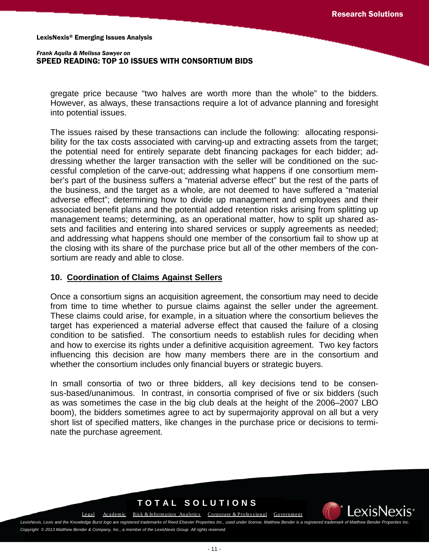*Frank Aquila & Melissa Sawyer on* 

#### SPEED READING: TOP 10 ISSUES WITH CONSORTIUM BIDS

gregate price because "two halves are worth more than the whole" to the bidders. However, as always, these transactions require a lot of advance planning and foresight into potential issues.

The issues raised by these transactions can include the following: allocating responsibility for the tax costs associated with carving-up and extracting assets from the target; the potential need for entirely separate debt financing packages for each bidder; addressing whether the larger transaction with the seller will be conditioned on the successful completion of the carve-out; addressing what happens if one consortium member's part of the business suffers a "material adverse effect" but the rest of the parts of the business, and the target as a whole, are not deemed to have suffered a "material adverse effect"; determining how to divide up management and employees and their associated benefit plans and the potential added retention risks arising from splitting up management teams; determining, as an operational matter, how to split up shared assets and facilities and entering into shared services or supply agreements as needed; and addressing what happens should one member of the consortium fail to show up at the closing with its share of the purchase price but all of the other members of the consortium are ready and able to close.

### **10. Coordination of Claims Against Sellers**

Once a consortium signs an acquisition agreement, the consortium may need to decide from time to time whether to pursue claims against the seller under the agreement. These claims could arise, for example, in a situation where the consortium believes the target has experienced a material adverse effect that caused the failure of a closing condition to be satisfied. The consortium needs to establish rules for deciding when and how to exercise its rights under a definitive acquisition agreement. Two key factors influencing this decision are how many members there are in the consortium and whether the consortium includes only financial buyers or strategic buyers.

In small consortia of two or three bidders, all key decisions tend to be consensus-based/unanimous. In contrast, in consortia comprised of five or six bidders (such as was sometimes the case in the big club deals at the height of the 2006–2007 LBO boom), the bidders sometimes agree to act by supermajority approval on all but a very short list of specified matters, like changes in the purchase price or decisions to terminate the purchase agreement.

# **TOTAL SOLUTIONS**

Legal Academic Risk & Information Analytics Corporate & Professional [Government](http://www.lexisnexis.com/gov/)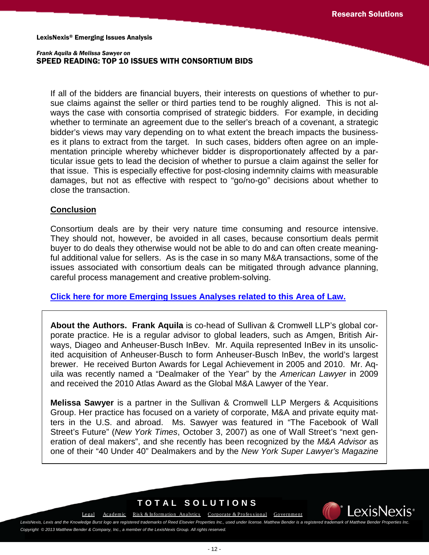If all of the bidders are financial buyers, their interests on questions of whether to pursue claims against the seller or third parties tend to be roughly aligned. This is not always the case with consortia comprised of strategic bidders. For example, in deciding whether to terminate an agreement due to the seller's breach of a covenant, a strategic bidder's views may vary depending on to what extent the breach impacts the businesses it plans to extract from the target. In such cases, bidders often agree on an implementation principle whereby whichever bidder is disproportionately affected by a particular issue gets to lead the decision of whether to pursue a claim against the seller for that issue. This is especially effective for post-closing indemnity claims with measurable damages, but not as effective with respect to "go/no-go" decisions about whether to close the transaction.

### **Conclusion**

Consortium deals are by their very nature time consuming and resource intensive. They should not, however, be avoided in all cases, because consortium deals permit buyer to do deals they otherwise would not be able to do and can often create meaningful additional value for sellers. As is the case in so many M&A transactions, some of the issues associated with consortium deals can be mitigated through advance planning, careful process management and creative problem-solving.

### **Click [here for more Emerging Issues Analyses related to this Area of Law.](http://www.lexis.com/research/xlink?&source=352100&searchtype=boolean&target=toc)**

**About the Authors. Frank Aquila** is co-head of Sullivan & Cromwell LLP's global corporate practice. He is a regular advisor to global leaders, such as Amgen, British Airways, Diageo and Anheuser-Busch InBev. Mr. Aquila represented InBev in its unsolicited acquisition of Anheuser-Busch to form Anheuser-Busch InBev, the world's largest brewer. He received Burton Awards for Legal Achievement in 2005 and 2010. Mr. Aquila was recently named a "Dealmaker of the Year" by the *American Lawyer* in 2009 and received the 2010 Atlas Award as the Global M&A Lawyer of the Year.

**Melissa Sawyer** is a partner in the Sullivan & Cromwell LLP Mergers & Acquisitions Group. Her practice has focused on a variety of corporate, M&A and private equity matters in the U.S. and abroad. Ms. Sawyer was featured in "The Facebook of Wall Street's Future" (*New York Times*, October 3, 2007) as one of Wall Street's "next generation of deal makers", and she recently has been recognized by the *M&A Advisor* as one of their "40 Under 40" Dealmakers and by the *New York Super Lawyer's Magazine*

# **TOTAL SOLUTIONS**



Legal Academic Risk & Information Analytics Corporate & Professional [Government](http://www.lexisnexis.com/gov/)